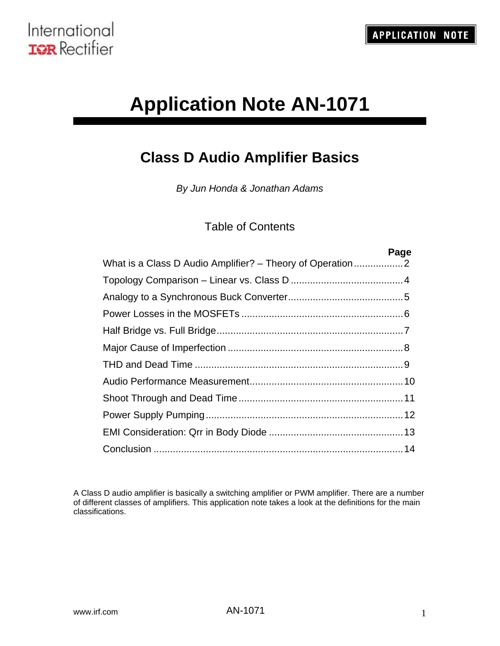

# **Application Note AN-1071**

## **Class D Audio Amplifier Basics**

*By Jun Honda & Jonathan Adams*

#### Table of Contents

| Page |
|------|
|      |
|      |
|      |
|      |
|      |
|      |
|      |
|      |
|      |
|      |
|      |
|      |

A Class D audio amplifier is basically a switching amplifier or PWM amplifier. There are a number of different classes of amplifiers. This application note takes a look at the definitions for the main classifications.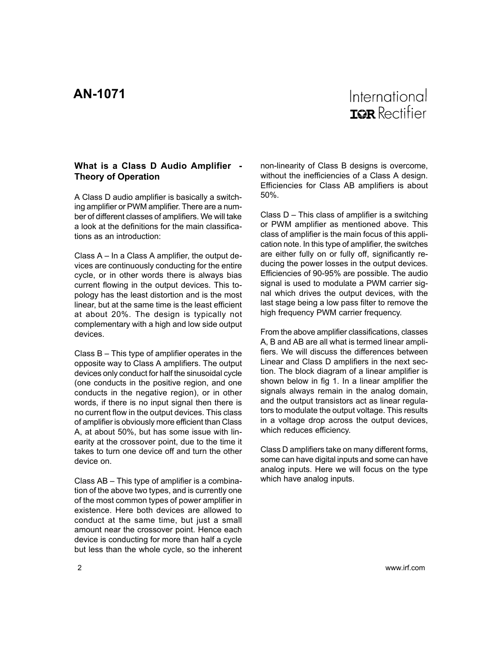#### <span id="page-1-0"></span>**What is a Class D Audio Amplifier - Theory of Operation**

A Class D audio amplifier is basically a switching amplifier or PWM amplifier. There are a number of different classes of amplifiers. We will take a look at the definitions for the main classifications as an introduction:

Class A – In a Class A amplifier, the output devices are continuously conducting for the entire cycle, or in other words there is always bias current flowing in the output devices. This topology has the least distortion and is the most linear, but at the same time is the least efficient at about 20%. The design is typically not complementary with a high and low side output devices.

Class B – This type of amplifier operates in the opposite way to Class A amplifiers. The output devices only conduct for half the sinusoidal cycle (one conducts in the positive region, and one conducts in the negative region), or in other words, if there is no input signal then there is no current flow in the output devices. This class of amplifier is obviously more efficient than Class A, at about 50%, but has some issue with linearity at the crossover point, due to the time it takes to turn one device off and turn the other device on.

Class AB – This type of amplifier is a combination of the above two types, and is currently one of the most common types of power amplifier in existence. Here both devices are allowed to conduct at the same time, but just a small amount near the crossover point. Hence each device is conducting for more than half a cycle but less than the whole cycle, so the inherent non-linearity of Class B designs is overcome, without the inefficiencies of a Class A design. Efficiencies for Class AB amplifiers is about 50%.

Class D – This class of amplifier is a switching or PWM amplifier as mentioned above. This class of amplifier is the main focus of this application note. In this type of amplifier, the switches are either fully on or fully off, significantly reducing the power losses in the output devices. Efficiencies of 90-95% are possible. The audio signal is used to modulate a PWM carrier signal which drives the output devices, with the last stage being a low pass filter to remove the high frequency PWM carrier frequency.

From the above amplifier classifications, classes A, B and AB are all what is termed linear amplifiers. We will discuss the differences between Linear and Class D amplifiers in the next section. The block diagram of a linear amplifier is shown below in fig 1. In a linear amplifier the signals always remain in the analog domain, and the output transistors act as linear regulators to modulate the output voltage. This results in a voltage drop across the output devices, which reduces efficiency.

Class D amplifiers take on many different forms, some can have digital inputs and some can have analog inputs. Here we will focus on the type which have analog inputs.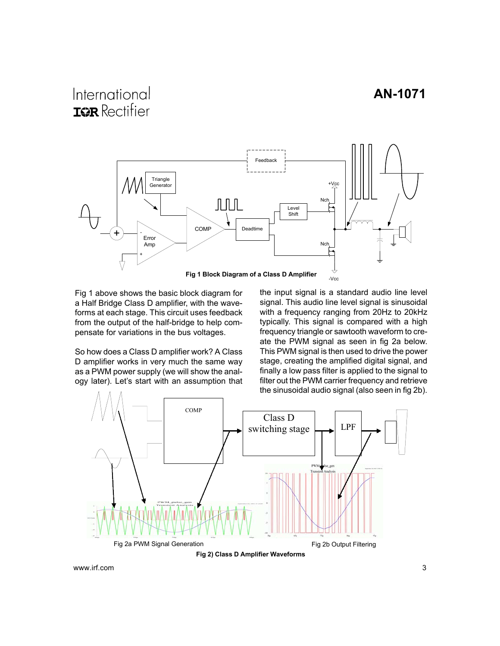### International **IGR** Rectifier



Fig 1 above shows the basic block diagram for a Half Bridge Class D amplifier, with the waveforms at each stage. This circuit uses feedback from the output of the half-bridge to help compensate for variations in the bus voltages.

So how does a Class D amplifier work? A Class D amplifier works in very much the same way as a PWM power supply (we will show the analogy later). Let's start with an assumption that the input signal is a standard audio line level signal. This audio line level signal is sinusoidal with a frequency ranging from 20Hz to 20kHz typically. This signal is compared with a high frequency triangle or sawtooth waveform to create the PWM signal as seen in fig 2a below. This PWM signal is then used to drive the power stage, creating the amplified digital signal, and finally a low pass filter is applied to the signal to filter out the PWM carrier frequency and retrieve the sinusoidal audio signal (also seen in fig 2b).

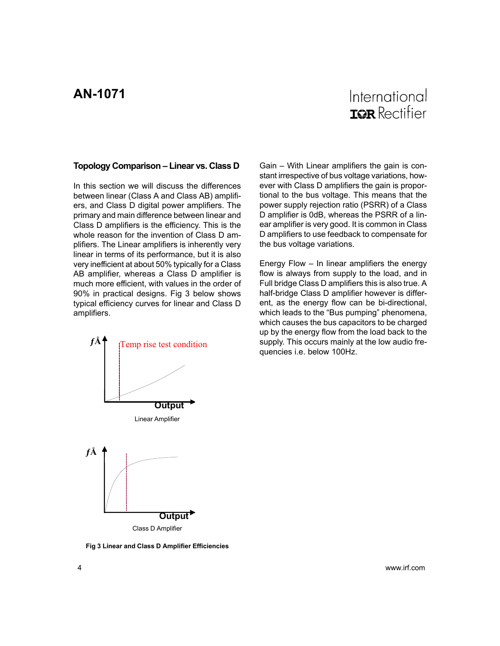#### <span id="page-3-0"></span>**Topology Comparison – Linear vs. Class D**

In this section we will discuss the differences between linear (Class A and Class AB) amplifiers, and Class D digital power amplifiers. The primary and main difference between linear and Class D amplifiers is the efficiency. This is the whole reason for the invention of Class D amplifiers. The Linear amplifiers is inherently very linear in terms of its performance, but it is also very inefficient at about 50% typically for a Class AB amplifier, whereas a Class D amplifier is much more efficient, with values in the order of 90% in practical designs. Fig 3 below shows typical efficiency curves for linear and Class D amplifiers.



**Fig 3 Linear and Class D Amplifier Efficiencies**

Gain – With Linear amplifiers the gain is constant irrespective of bus voltage variations, however with Class D amplifiers the gain is proportional to the bus voltage. This means that the power supply rejection ratio (PSRR) of a Class D amplifier is 0dB, whereas the PSRR of a linear amplifier is very good. It is common in Class D amplifiers to use feedback to compensate for the bus voltage variations.

Energy Flow – In linear amplifiers the energy flow is always from supply to the load, and in Full bridge Class D amplifiers this is also true. A half-bridge Class D amplifier however is different, as the energy flow can be bi-directional, which leads to the "Bus pumping" phenomena, which causes the bus capacitors to be charged up by the energy flow from the load back to the supply. This occurs mainly at the low audio frequencies i.e. below 100Hz.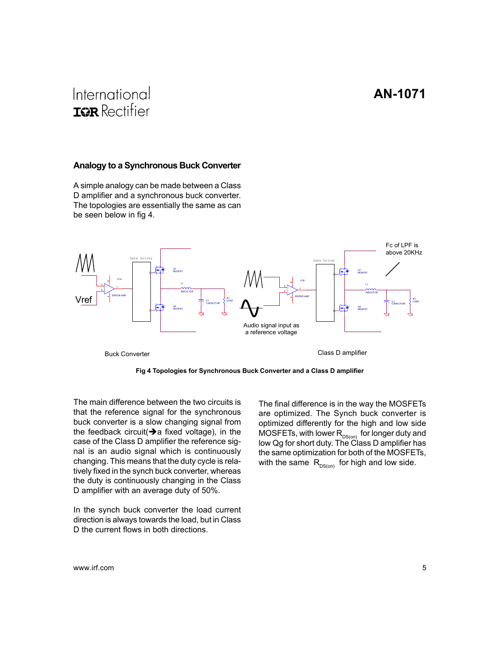## <span id="page-4-0"></span>International **IGR** Rectifier

#### **Analogy to a Synchronous Buck Converter**

A simple analogy can be made between a Class D amplifier and a synchronous buck converter. The topologies are essentially the same as can be seen below in fig 4.





The main difference between the two circuits is that the reference signal for the synchronous buck converter is a slow changing signal from the feedback circuit( $\rightarrow$ a fixed voltage), in the case of the Class D amplifier the reference signal is an audio signal which is continuously changing. This means that the duty cycle is relatively fixed in the synch buck converter, whereas the duty is continuously changing in the Class D amplifier with an average duty of 50%.

In the synch buck converter the load current direction is always towards the load, but in Class D the current flows in both directions.

The final difference is in the way the MOSFETs are optimized. The Synch buck converter is optimized differently for the high and low side MOSFETs, with lower  $\mathsf{R}_{_{\mathsf{DS}(on)}}$  for longer duty and low Qg for short duty. The Class D amplifier has the same optimization for both of the MOSFETs, with the same  $R_{DS(0n)}$  for high and low side.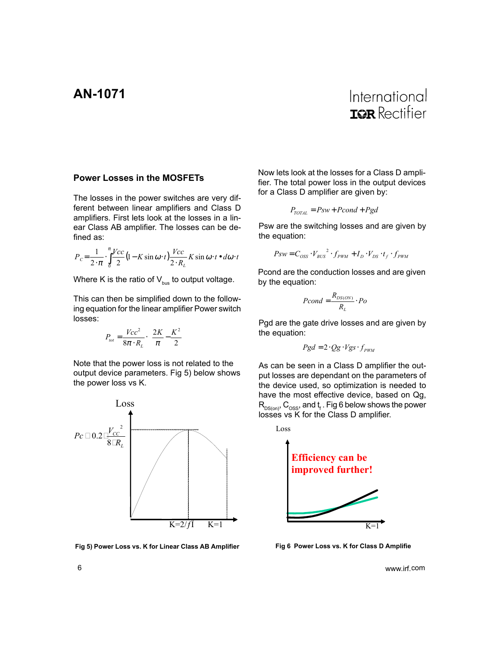#### <span id="page-5-0"></span>**Power Losses in the MOSFETs**

The losses in the power switches are very different between linear amplifiers and Class D amplifiers. First lets look at the losses in a linear Class AB amplifier. The losses can be defined as:

$$
P_C = \frac{1}{2 \cdot \pi} \cdot \int_{0}^{\pi} \frac{Vcc}{2} (1 - K \sin \omega \cdot t) \frac{Vcc}{2 \cdot R_L} K \sin \omega \cdot t \cdot d\omega \cdot t
$$

Where K is the ratio of  $V_{\text{bus}}$  to output voltage.

This can then be simplified down to the following equation for the linear amplifier Power switch losses:

$$
P_{tot} = \frac{Vcc^2}{8\pi \cdot R_L} \cdot \left(\frac{2K}{\pi} - \frac{K^2}{2}\right)
$$

Note that the power loss is not related to the output device parameters. Fig 5) below shows the power loss vs K.



**Fig 5) Power Loss vs. K for Linear Class AB Amplifier**

Now lets look at the losses for a Class D amplifier. The total power loss in the output devices for a Class D amplifier are given by:

$$
P_{\text{TOTAL}} = Psw + Pcond + Pgd
$$

Psw are the switching losses and are given by the equation:

$$
P_{SW} = C_{OSS} \cdot V_{BUS}^{2} \cdot f_{PWM} + I_{D} \cdot V_{DS} \cdot t_{f} \cdot f_{PWM}
$$

Pcond are the conduction losses and are given by the equation:

$$
Pcond = \frac{R_{DS(ON)}}{R_L} \cdot Po
$$

Pgd are the gate drive losses and are given by the equation:

$$
Pgd = 2 \cdot Qg \cdot Vgs \cdot f_{\text{PWM}}
$$

As can be seen in a Class D amplifier the output losses are dependant on the parameters of the device used, so optimization is needed to have the most effective device, based on Qg,  $\mathsf{R}_{\mathsf{DS(0n)}}, \mathsf{C}_{\mathsf{OSS}},$  and  $\mathsf{t}_\mathsf{f}$  . Fig 6 below shows the power losses vs K for the Class D amplifier.



**Fig 6 Power Loss vs. K for Class D Amplifie**

6 www.irf.com www.irf.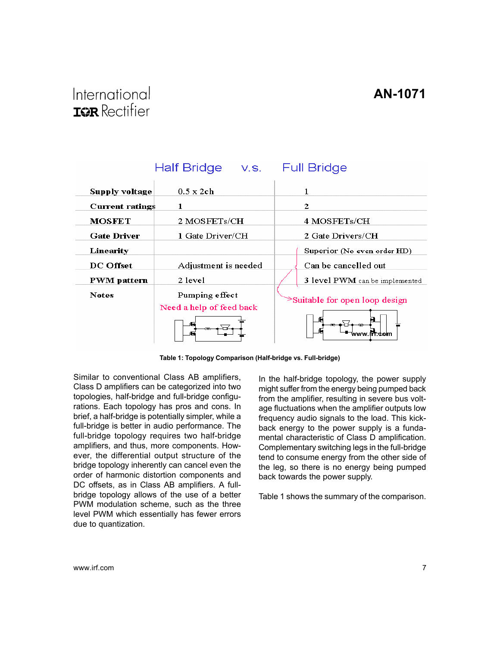<span id="page-6-0"></span>

|                        | Half Bridge v.s.         | <b>Full Bridge</b>             |  |
|------------------------|--------------------------|--------------------------------|--|
| Supply voltage         | $0.5 \times 2$ ch        | 1                              |  |
| <b>Current ratings</b> | 1                        | 2                              |  |
| <b>MOSFET</b>          | 2 MOSFETs/CH             | 4 MOSFETs/CH                   |  |
| <b>Gate Driver</b>     | 1 Gate Driver/CH         | 2 Gate Drivers/CH              |  |
| Linearity              |                          | Superior (No even order HD)    |  |
| <b>DC</b> Offset       | Adjustment is needed     | Can be cancelled out           |  |
| <b>PWM</b> pattern     | 2 level                  | 3 level PWM can be implemented |  |
| <b>Notes</b>           | Pumping effect           | Suitable for open loop design  |  |
|                        | Need a help of feed back |                                |  |
|                        |                          | fri com<br>a a a               |  |

**Table 1: Topology Comparison (Half-bridge vs. Full-bridge)**

Similar to conventional Class AB amplifiers, Class D amplifiers can be categorized into two topologies, half-bridge and full-bridge configurations. Each topology has pros and cons. In brief, a half-bridge is potentially simpler, while a full-bridge is better in audio performance. The full-bridge topology requires two half-bridge amplifiers, and thus, more components. However, the differential output structure of the bridge topology inherently can cancel even the order of harmonic distortion components and DC offsets, as in Class AB amplifiers. A fullbridge topology allows of the use of a better PWM modulation scheme, such as the three level PWM which essentially has fewer errors due to quantization.

In the half-bridge topology, the power supply might suffer from the energy being pumped back from the amplifier, resulting in severe bus voltage fluctuations when the amplifier outputs low frequency audio signals to the load. This kickback energy to the power supply is a fundamental characteristic of Class D amplification. Complementary switching legs in the full-bridge tend to consume energy from the other side of the leg, so there is no energy being pumped back towards the power supply.

Table 1 shows the summary of the comparison.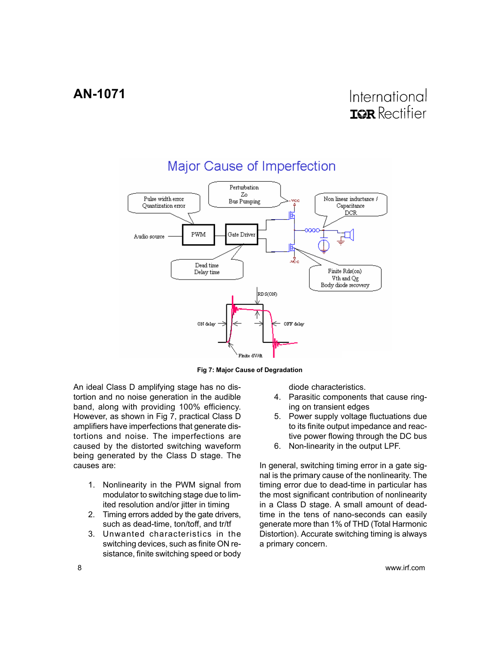<span id="page-7-0"></span>

**Fig 7: Major Cause of Degradation**

An ideal Class D amplifying stage has no distortion and no noise generation in the audible band, along with providing 100% efficiency. However, as shown in Fig 7, practical Class D amplifiers have imperfections that generate distortions and noise. The imperfections are caused by the distorted switching waveform being generated by the Class D stage. The causes are:

- 1. Nonlinearity in the PWM signal from modulator to switching stage due to limited resolution and/or jitter in timing
- 2. Timing errors added by the gate drivers, such as dead-time, ton/toff, and tr/tf
- 3. Unwanted characteristics in the switching devices, such as finite ON resistance, finite switching speed or body

diode characteristics.

- 4. Parasitic components that cause ringing on transient edges
- 5. Power supply voltage fluctuations due to its finite output impedance and reactive power flowing through the DC bus
- 6. Non-linearity in the output LPF.

In general, switching timing error in a gate signal is the primary cause of the nonlinearity. The timing error due to dead-time in particular has the most significant contribution of nonlinearity in a Class D stage. A small amount of deadtime in the tens of nano-seconds can easily generate more than 1% of THD (Total Harmonic Distortion). Accurate switching timing is always a primary concern.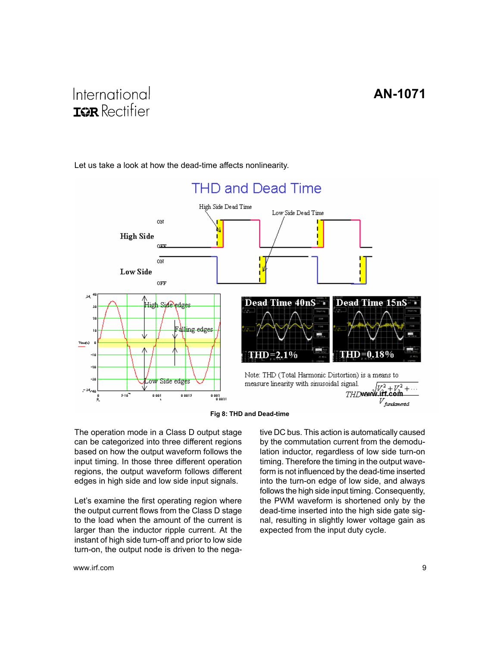

<span id="page-8-0"></span>Let us take a look at how the dead-time affects nonlinearity.

**Fig 8: THD and Dead-time**

The operation mode in a Class D output stage can be categorized into three different regions based on how the output waveform follows the input timing. In those three different operation regions, the output waveform follows different edges in high side and low side input signals.

Let's examine the first operating region where the output current flows from the Class D stage to the load when the amount of the current is larger than the inductor ripple current. At the instant of high side turn-off and prior to low side turn-on, the output node is driven to the negative DC bus. This action is automatically caused by the commutation current from the demodulation inductor, regardless of low side turn-on timing. Therefore the timing in the output waveform is not influenced by the dead-time inserted into the turn-on edge of low side, and always follows the high side input timing. Consequently, the PWM waveform is shortened only by the dead-time inserted into the high side gate signal, resulting in slightly lower voltage gain as expected from the input duty cycle.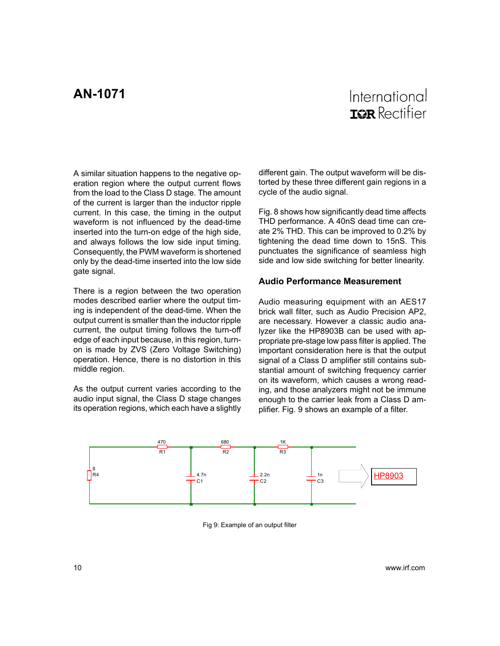### International TOR Rectifier

<span id="page-9-0"></span>A similar situation happens to the negative operation region where the output current flows from the load to the Class D stage. The amount of the current is larger than the inductor ripple current. In this case, the timing in the output waveform is not influenced by the dead-time inserted into the turn-on edge of the high side, and always follows the low side input timing. Consequently, the PWM waveform is shortened only by the dead-time inserted into the low side gate signal.

There is a region between the two operation modes described earlier where the output timing is independent of the dead-time. When the output current is smaller than the inductor ripple current, the output timing follows the turn-off edge of each input because, in this region, turnon is made by ZVS (Zero Voltage Switching) operation. Hence, there is no distortion in this middle region.

As the output current varies according to the audio input signal, the Class D stage changes its operation regions, which each have a slightly different gain. The output waveform will be distorted by these three different gain regions in a cycle of the audio signal.

Fig. 8 shows how significantly dead time affects THD performance. A 40nS dead time can create 2% THD. This can be improved to 0.2% by tightening the dead time down to 15nS. This punctuates the significance of seamless high side and low side switching for better linearity.

#### **Audio Performance Measurement**

Audio measuring equipment with an AES17 brick wall filter, such as Audio Precision AP2, are necessary. However a classic audio analyzer like the HP8903B can be used with appropriate pre-stage low pass filter is applied. The important consideration here is that the output signal of a Class D amplifier still contains substantial amount of switching frequency carrier on its waveform, which causes a wrong reading, and those analyzers might not be immune enough to the carrier leak from a Class D amplifier. Fig. 9 shows an example of a filter.



Fig 9: Example of an output filter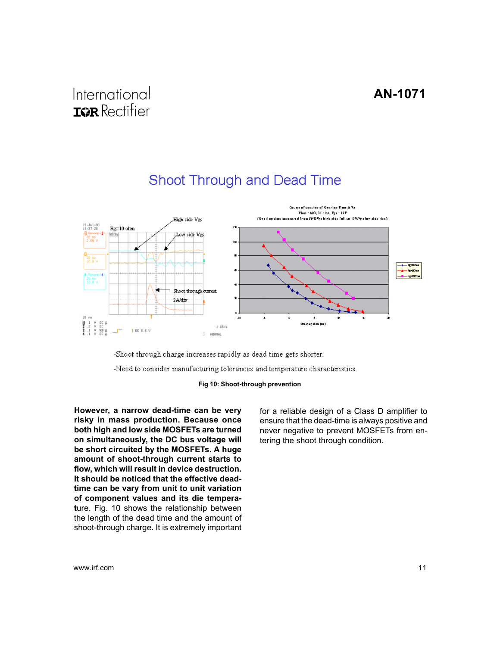<span id="page-10-0"></span>

-Shoot through charge increases rapidly as dead time gets shorter.

-Need to consider manufacturing tolerances and temperature characteristics.



**However, a narrow dead-time can be very risky in mass production. Because once both high and low side MOSFETs are turned on simultaneously, the DC bus voltage will be short circuited by the MOSFETs. A huge amount of shoot-through current starts to flow, which will result in device destruction. It should be noticed that the effective deadtime can be vary from unit to unit variation of component values and its die temperat**ure. Fig. 10 shows the relationship between the length of the dead time and the amount of shoot-through charge. It is extremely important for a reliable design of a Class D amplifier to ensure that the dead-time is always positive and never negative to prevent MOSFETs from entering the shoot through condition.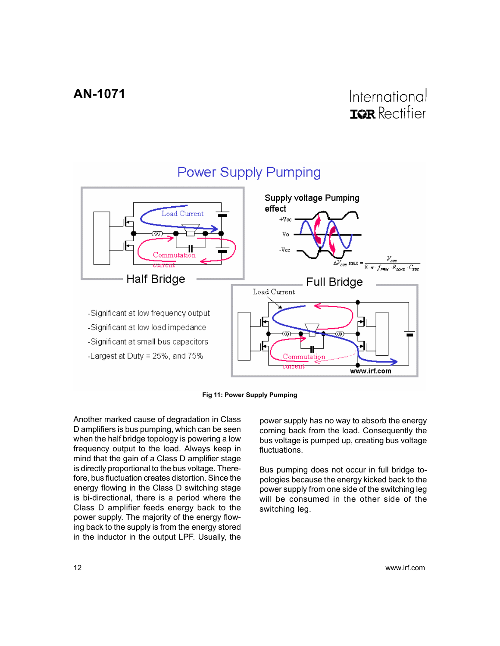<span id="page-11-0"></span>

#### **Power Supply Pumping**



Another marked cause of degradation in Class D amplifiers is bus pumping, which can be seen when the half bridge topology is powering a low frequency output to the load. Always keep in mind that the gain of a Class D amplifier stage is directly proportional to the bus voltage. Therefore, bus fluctuation creates distortion. Since the energy flowing in the Class D switching stage is bi-directional, there is a period where the Class D amplifier feeds energy back to the power supply. The majority of the energy flowing back to the supply is from the energy stored in the inductor in the output LPF. Usually, the power supply has no way to absorb the energy coming back from the load. Consequently the bus voltage is pumped up, creating bus voltage fluctuations.

Bus pumping does not occur in full bridge topologies because the energy kicked back to the power supply from one side of the switching leg will be consumed in the other side of the switching leg.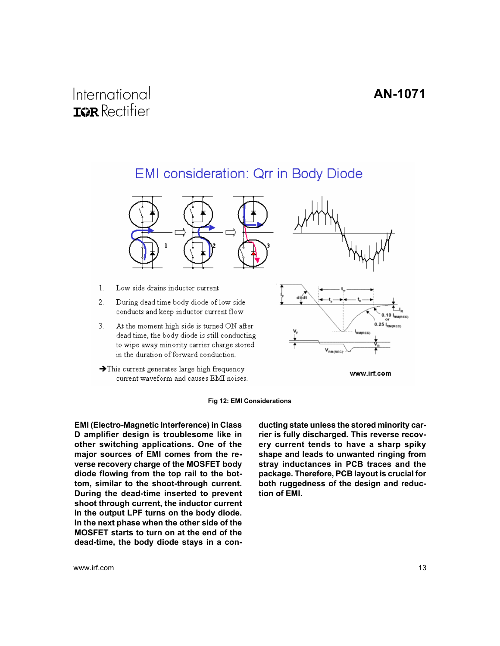### <span id="page-12-0"></span>EMI consideration: Qrr in Body Diode



- $1.$ Low side drains inductor current
- $2.$ During dead time body diode of low side conducts and keep inductor current flow
- $3.$ At the moment high side is turned ON after dead time, the body diode is still conducting to wipe away minority carrier charge stored in the duration of forward conduction.
- $\rightarrow$  This current generates large high frequency current waveform and causes EMI noises.



www.irf.com

#### **Fig 12: EMI Considerations**

**EMI (Electro-Magnetic Interference) in Class D amplifier design is troublesome like in other switching applications. One of the major sources of EMI comes from the reverse recovery charge of the MOSFET body diode flowing from the top rail to the bottom, similar to the shoot-through current. During the dead-time inserted to prevent shoot through current, the inductor current in the output LPF turns on the body diode. In the next phase when the other side of the MOSFET starts to turn on at the end of the dead-time, the body diode stays in a con-** **ducting state unless the stored minority carrier is fully discharged. This reverse recovery current tends to have a sharp spiky shape and leads to unwanted ringing from stray inductances in PCB traces and the package. Therefore, PCB layout is crucial for both ruggedness of the design and reduction of EMI.**